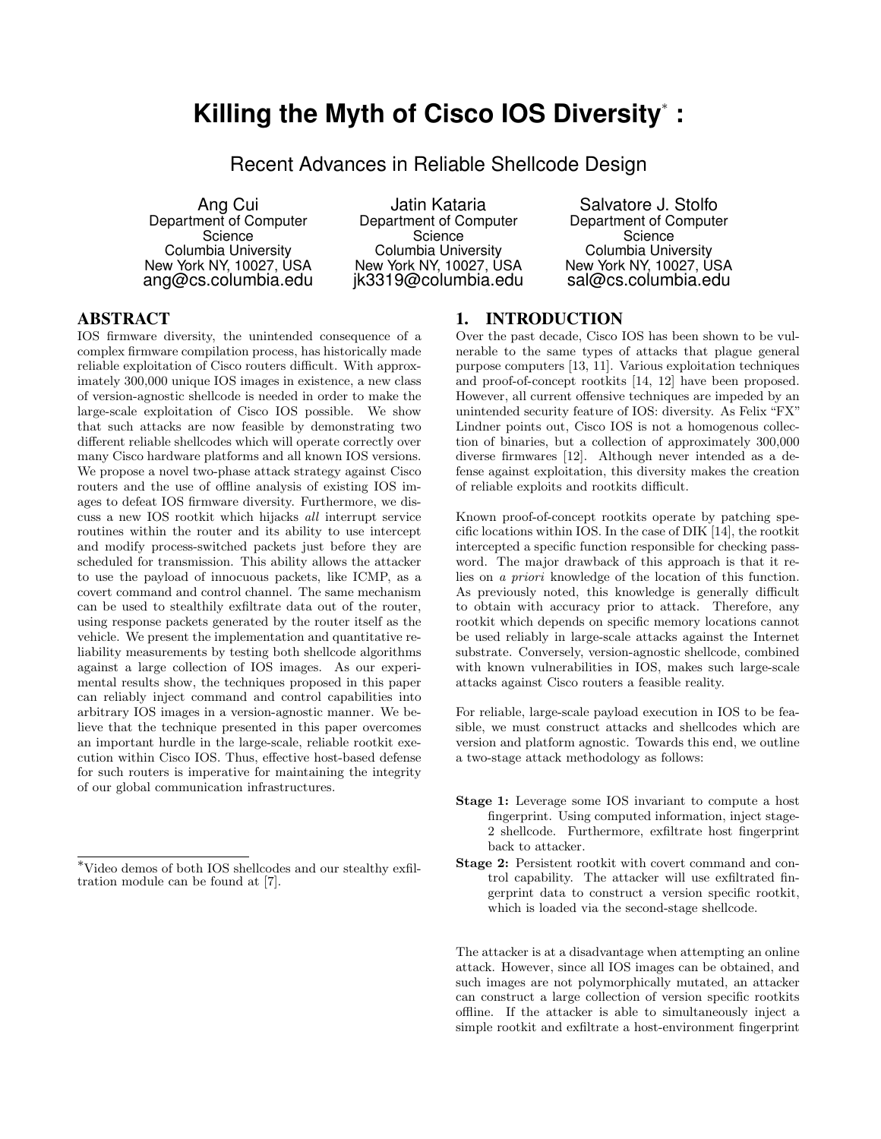# **Killing the Myth of Cisco IOS Diversity**<sup>∗</sup> **:**

Recent Advances in Reliable Shellcode Design

Ang Cui Department of Computer Science Columbia University New York NY, 10027, USA ang@cs.columbia.edu

Jatin Kataria Department of Computer Science Columbia University New York NY, 10027, USA jk3319@columbia.edu

Salvatore J. Stolfo Department of Computer Science Columbia University New York NY, 10027, USA sal@cs.columbia.edu

## ABSTRACT

IOS firmware diversity, the unintended consequence of a complex firmware compilation process, has historically made reliable exploitation of Cisco routers difficult. With approximately 300,000 unique IOS images in existence, a new class of version-agnostic shellcode is needed in order to make the large-scale exploitation of Cisco IOS possible. We show that such attacks are now feasible by demonstrating two different reliable shellcodes which will operate correctly over many Cisco hardware platforms and all known IOS versions. We propose a novel two-phase attack strategy against Cisco routers and the use of offline analysis of existing IOS images to defeat IOS firmware diversity. Furthermore, we discuss a new IOS rootkit which hijacks all interrupt service routines within the router and its ability to use intercept and modify process-switched packets just before they are scheduled for transmission. This ability allows the attacker to use the payload of innocuous packets, like ICMP, as a covert command and control channel. The same mechanism can be used to stealthily exfiltrate data out of the router, using response packets generated by the router itself as the vehicle. We present the implementation and quantitative reliability measurements by testing both shellcode algorithms against a large collection of IOS images. As our experimental results show, the techniques proposed in this paper can reliably inject command and control capabilities into arbitrary IOS images in a version-agnostic manner. We believe that the technique presented in this paper overcomes an important hurdle in the large-scale, reliable rootkit execution within Cisco IOS. Thus, effective host-based defense for such routers is imperative for maintaining the integrity of our global communication infrastructures.

## 1. INTRODUCTION

Over the past decade, Cisco IOS has been shown to be vulnerable to the same types of attacks that plague general purpose computers [13, 11]. Various exploitation techniques and proof-of-concept rootkits [14, 12] have been proposed. However, all current offensive techniques are impeded by an unintended security feature of IOS: diversity. As Felix "FX" Lindner points out, Cisco IOS is not a homogenous collection of binaries, but a collection of approximately 300,000 diverse firmwares [12]. Although never intended as a defense against exploitation, this diversity makes the creation of reliable exploits and rootkits difficult.

Known proof-of-concept rootkits operate by patching specific locations within IOS. In the case of DIK [14], the rootkit intercepted a specific function responsible for checking password. The major drawback of this approach is that it relies on a priori knowledge of the location of this function. As previously noted, this knowledge is generally difficult to obtain with accuracy prior to attack. Therefore, any rootkit which depends on specific memory locations cannot be used reliably in large-scale attacks against the Internet substrate. Conversely, version-agnostic shellcode, combined with known vulnerabilities in IOS, makes such large-scale attacks against Cisco routers a feasible reality.

For reliable, large-scale payload execution in IOS to be feasible, we must construct attacks and shellcodes which are version and platform agnostic. Towards this end, we outline a two-stage attack methodology as follows:

- Stage 1: Leverage some IOS invariant to compute a host fingerprint. Using computed information, inject stage-2 shellcode. Furthermore, exfiltrate host fingerprint back to attacker.
- Stage 2: Persistent rootkit with covert command and control capability. The attacker will use exfiltrated fingerprint data to construct a version specific rootkit, which is loaded via the second-stage shellcode.

The attacker is at a disadvantage when attempting an online attack. However, since all IOS images can be obtained, and such images are not polymorphically mutated, an attacker can construct a large collection of version specific rootkits offline. If the attacker is able to simultaneously inject a simple rootkit and exfiltrate a host-environment fingerprint

<sup>∗</sup>Video demos of both IOS shellcodes and our stealthy exfiltration module can be found at [7].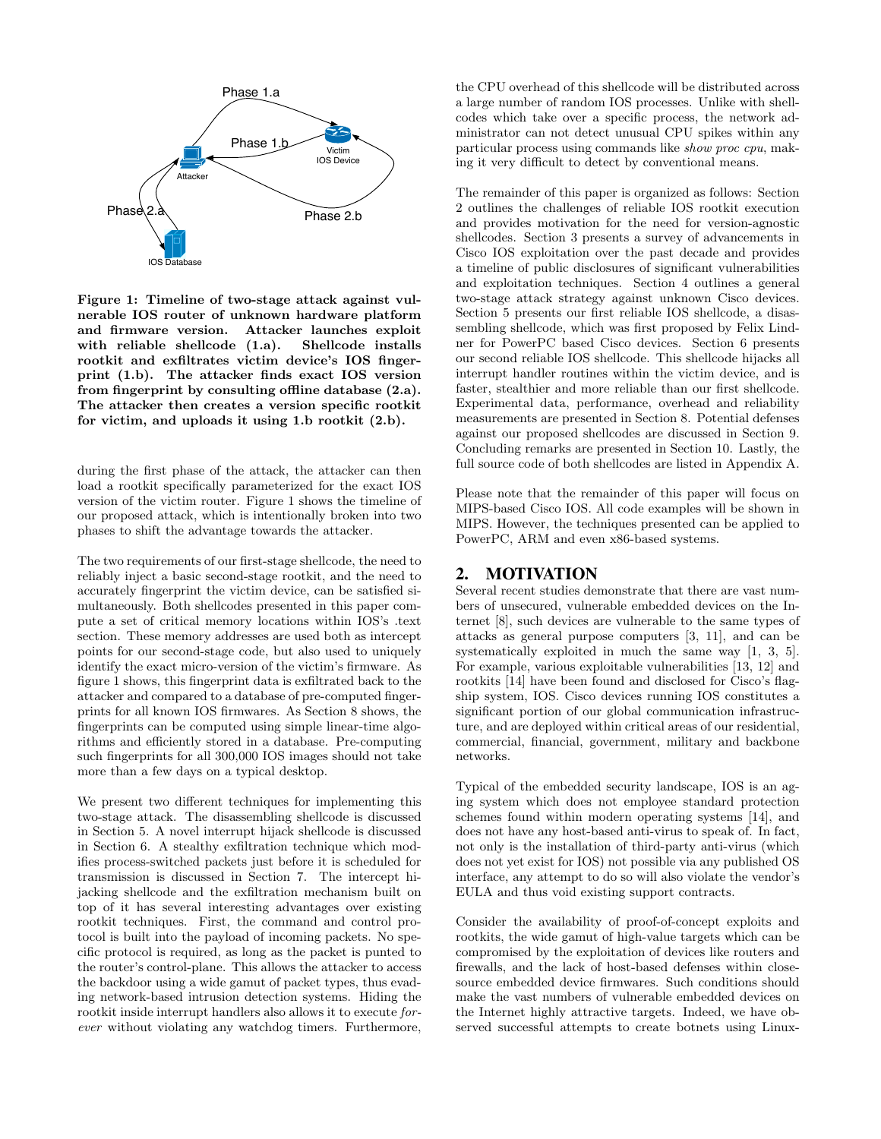

Figure 1: Timeline of two-stage attack against vulnerable IOS router of unknown hardware platform and firmware version. Attacker launches exploit with reliable shellcode (1.a). Shellcode installs rootkit and exfiltrates victim device's IOS fingerprint (1.b). The attacker finds exact IOS version from fingerprint by consulting offline database (2.a). The attacker then creates a version specific rootkit for victim, and uploads it using 1.b rootkit (2.b).

during the first phase of the attack, the attacker can then load a rootkit specifically parameterized for the exact IOS version of the victim router. Figure 1 shows the timeline of our proposed attack, which is intentionally broken into two phases to shift the advantage towards the attacker.

The two requirements of our first-stage shellcode, the need to reliably inject a basic second-stage rootkit, and the need to accurately fingerprint the victim device, can be satisfied simultaneously. Both shellcodes presented in this paper compute a set of critical memory locations within IOS's .text section. These memory addresses are used both as intercept points for our second-stage code, but also used to uniquely identify the exact micro-version of the victim's firmware. As figure 1 shows, this fingerprint data is exfiltrated back to the attacker and compared to a database of pre-computed fingerprints for all known IOS firmwares. As Section 8 shows, the fingerprints can be computed using simple linear-time algorithms and efficiently stored in a database. Pre-computing such fingerprints for all 300,000 IOS images should not take more than a few days on a typical desktop.

We present two different techniques for implementing this two-stage attack. The disassembling shellcode is discussed in Section 5. A novel interrupt hijack shellcode is discussed in Section 6. A stealthy exfiltration technique which modifies process-switched packets just before it is scheduled for transmission is discussed in Section 7. The intercept hijacking shellcode and the exfiltration mechanism built on top of it has several interesting advantages over existing rootkit techniques. First, the command and control protocol is built into the payload of incoming packets. No specific protocol is required, as long as the packet is punted to the router's control-plane. This allows the attacker to access the backdoor using a wide gamut of packet types, thus evading network-based intrusion detection systems. Hiding the rootkit inside interrupt handlers also allows it to execute forever without violating any watchdog timers. Furthermore,

the CPU overhead of this shellcode will be distributed across a large number of random IOS processes. Unlike with shellcodes which take over a specific process, the network administrator can not detect unusual CPU spikes within any particular process using commands like show proc cpu, making it very difficult to detect by conventional means.

The remainder of this paper is organized as follows: Section 2 outlines the challenges of reliable IOS rootkit execution and provides motivation for the need for version-agnostic shellcodes. Section 3 presents a survey of advancements in Cisco IOS exploitation over the past decade and provides a timeline of public disclosures of significant vulnerabilities and exploitation techniques. Section 4 outlines a general two-stage attack strategy against unknown Cisco devices. Section 5 presents our first reliable IOS shellcode, a disassembling shellcode, which was first proposed by Felix Lindner for PowerPC based Cisco devices. Section 6 presents our second reliable IOS shellcode. This shellcode hijacks all interrupt handler routines within the victim device, and is faster, stealthier and more reliable than our first shellcode. Experimental data, performance, overhead and reliability measurements are presented in Section 8. Potential defenses against our proposed shellcodes are discussed in Section 9. Concluding remarks are presented in Section 10. Lastly, the full source code of both shellcodes are listed in Appendix A.

Please note that the remainder of this paper will focus on MIPS-based Cisco IOS. All code examples will be shown in MIPS. However, the techniques presented can be applied to PowerPC, ARM and even x86-based systems.

## 2. MOTIVATION

Several recent studies demonstrate that there are vast numbers of unsecured, vulnerable embedded devices on the Internet [8], such devices are vulnerable to the same types of attacks as general purpose computers [3, 11], and can be systematically exploited in much the same way  $[1, 3, 5]$ . For example, various exploitable vulnerabilities [13, 12] and rootkits [14] have been found and disclosed for Cisco's flagship system, IOS. Cisco devices running IOS constitutes a significant portion of our global communication infrastructure, and are deployed within critical areas of our residential, commercial, financial, government, military and backbone networks.

Typical of the embedded security landscape, IOS is an aging system which does not employee standard protection schemes found within modern operating systems [14], and does not have any host-based anti-virus to speak of. In fact, not only is the installation of third-party anti-virus (which does not yet exist for IOS) not possible via any published OS interface, any attempt to do so will also violate the vendor's EULA and thus void existing support contracts.

Consider the availability of proof-of-concept exploits and rootkits, the wide gamut of high-value targets which can be compromised by the exploitation of devices like routers and firewalls, and the lack of host-based defenses within closesource embedded device firmwares. Such conditions should make the vast numbers of vulnerable embedded devices on the Internet highly attractive targets. Indeed, we have observed successful attempts to create botnets using Linux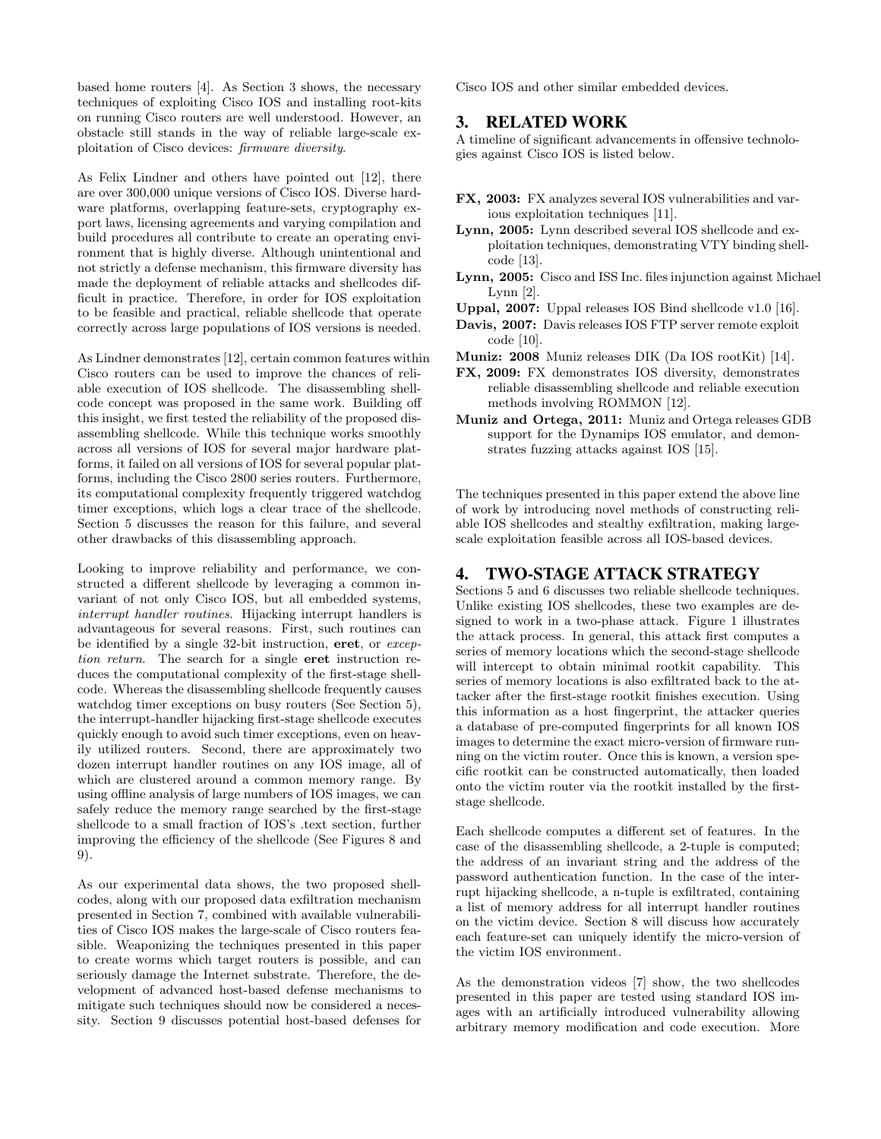based home routers [4]. As Section 3 shows, the necessary techniques of exploiting Cisco IOS and installing root-kits on running Cisco routers are well understood. However, an obstacle still stands in the way of reliable large-scale exploitation of Cisco devices: firmware diversity.

As Felix Lindner and others have pointed out [12], there are over 300,000 unique versions of Cisco IOS. Diverse hardware platforms, overlapping feature-sets, cryptography export laws, licensing agreements and varying compilation and build procedures all contribute to create an operating environment that is highly diverse. Although unintentional and not strictly a defense mechanism, this firmware diversity has made the deployment of reliable attacks and shellcodes difficult in practice. Therefore, in order for IOS exploitation to be feasible and practical, reliable shellcode that operate correctly across large populations of IOS versions is needed.

As Lindner demonstrates [12], certain common features within Cisco routers can be used to improve the chances of reliable execution of IOS shellcode. The disassembling shellcode concept was proposed in the same work. Building off this insight, we first tested the reliability of the proposed disassembling shellcode. While this technique works smoothly across all versions of IOS for several major hardware platforms, it failed on all versions of IOS for several popular platforms, including the Cisco 2800 series routers. Furthermore, its computational complexity frequently triggered watchdog timer exceptions, which logs a clear trace of the shellcode. Section 5 discusses the reason for this failure, and several other drawbacks of this disassembling approach.

Looking to improve reliability and performance, we constructed a different shellcode by leveraging a common invariant of not only Cisco IOS, but all embedded systems, interrupt handler routines. Hijacking interrupt handlers is advantageous for several reasons. First, such routines can be identified by a single 32-bit instruction, eret, or exception return. The search for a single eret instruction reduces the computational complexity of the first-stage shellcode. Whereas the disassembling shellcode frequently causes watchdog timer exceptions on busy routers (See Section 5), the interrupt-handler hijacking first-stage shellcode executes quickly enough to avoid such timer exceptions, even on heavily utilized routers. Second, there are approximately two dozen interrupt handler routines on any IOS image, all of which are clustered around a common memory range. By using offline analysis of large numbers of IOS images, we can safely reduce the memory range searched by the first-stage shellcode to a small fraction of IOS's .text section, further improving the efficiency of the shellcode (See Figures 8 and 9).

As our experimental data shows, the two proposed shellcodes, along with our proposed data exfiltration mechanism presented in Section 7, combined with available vulnerabilities of Cisco IOS makes the large-scale of Cisco routers feasible. Weaponizing the techniques presented in this paper to create worms which target routers is possible, and can seriously damage the Internet substrate. Therefore, the development of advanced host-based defense mechanisms to mitigate such techniques should now be considered a necessity. Section 9 discusses potential host-based defenses for Cisco IOS and other similar embedded devices.

#### 3. RELATED WORK

A timeline of significant advancements in offensive technologies against Cisco IOS is listed below.

- FX, 2003: FX analyzes several IOS vulnerabilities and various exploitation techniques [11].
- Lynn, 2005: Lynn described several IOS shellcode and exploitation techniques, demonstrating VTY binding shellcode [13].
- Lynn, 2005: Cisco and ISS Inc. files injunction against Michael Lynn [2].
- Uppal, 2007: Uppal releases IOS Bind shellcode v1.0 [16].
- Davis, 2007: Davis releases IOS FTP server remote exploit code [10].
- Muniz: 2008 Muniz releases DIK (Da IOS rootKit) [14].
- FX, 2009: FX demonstrates IOS diversity, demonstrates reliable disassembling shellcode and reliable execution methods involving ROMMON [12].
- Muniz and Ortega, 2011: Muniz and Ortega releases GDB support for the Dynamips IOS emulator, and demonstrates fuzzing attacks against IOS [15].

The techniques presented in this paper extend the above line of work by introducing novel methods of constructing reliable IOS shellcodes and stealthy exfiltration, making largescale exploitation feasible across all IOS-based devices.

#### 4. TWO-STAGE ATTACK STRATEGY

Sections 5 and 6 discusses two reliable shellcode techniques. Unlike existing IOS shellcodes, these two examples are designed to work in a two-phase attack. Figure 1 illustrates the attack process. In general, this attack first computes a series of memory locations which the second-stage shellcode will intercept to obtain minimal rootkit capability. This series of memory locations is also exfiltrated back to the attacker after the first-stage rootkit finishes execution. Using this information as a host fingerprint, the attacker queries a database of pre-computed fingerprints for all known IOS images to determine the exact micro-version of firmware running on the victim router. Once this is known, a version specific rootkit can be constructed automatically, then loaded onto the victim router via the rootkit installed by the firststage shellcode.

Each shellcode computes a different set of features. In the case of the disassembling shellcode, a 2-tuple is computed; the address of an invariant string and the address of the password authentication function. In the case of the interrupt hijacking shellcode, a n-tuple is exfiltrated, containing a list of memory address for all interrupt handler routines on the victim device. Section 8 will discuss how accurately each feature-set can uniquely identify the micro-version of the victim IOS environment.

As the demonstration videos [7] show, the two shellcodes presented in this paper are tested using standard IOS images with an artificially introduced vulnerability allowing arbitrary memory modification and code execution. More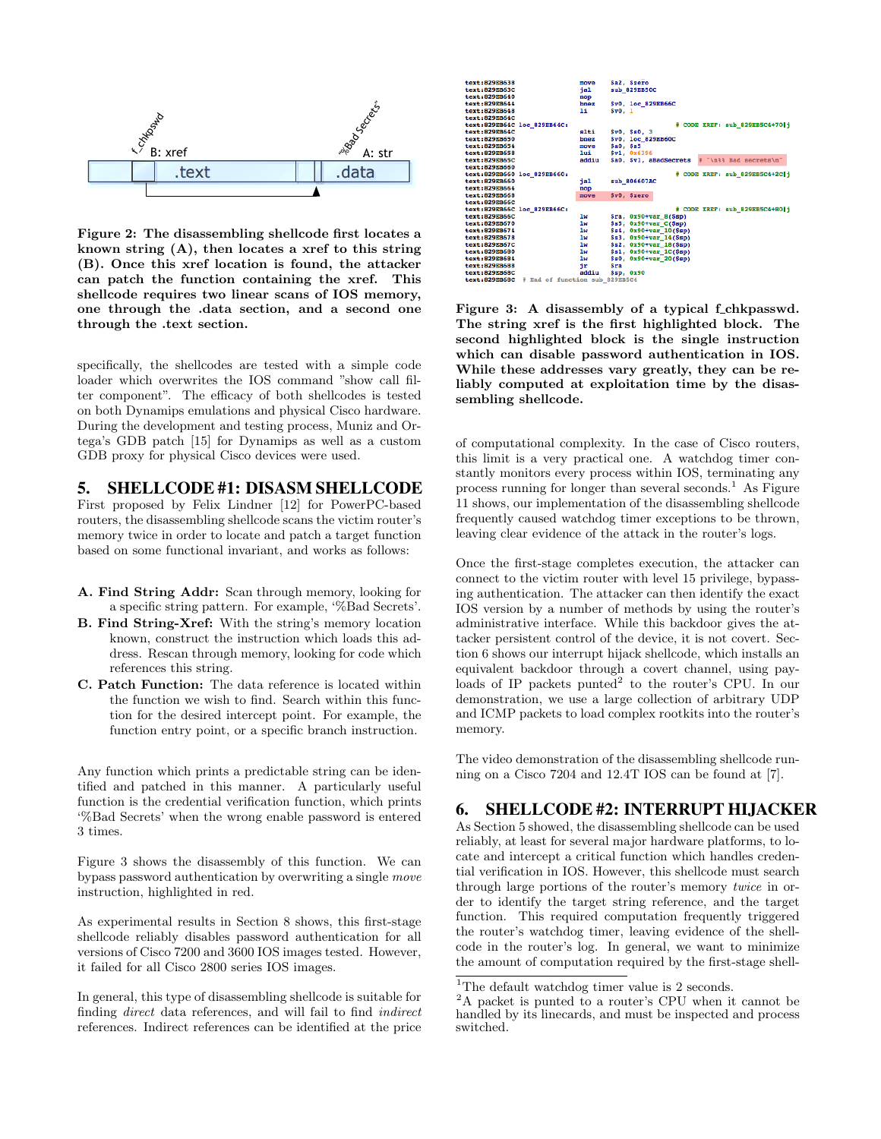

Figure 2: The disassembling shellcode first locates a known string (A), then locates a xref to this string (B). Once this xref location is found, the attacker can patch the function containing the xref. This shellcode requires two linear scans of IOS memory, one through the .data section, and a second one through the .text section.

specifically, the shellcodes are tested with a simple code loader which overwrites the IOS command "show call filter component". The efficacy of both shellcodes is tested on both Dynamips emulations and physical Cisco hardware. During the development and testing process, Muniz and Ortega's GDB patch [15] for Dynamips as well as a custom GDB proxy for physical Cisco devices were used.

#### 5. SHELLCODE #1: DISASM SHELLCODE

First proposed by Felix Lindner [12] for PowerPC-based routers, the disassembling shellcode scans the victim router's memory twice in order to locate and patch a target function based on some functional invariant, and works as follows:

- A. Find String Addr: Scan through memory, looking for a specific string pattern. For example, '%Bad Secrets'.
- B. Find String-Xref: With the string's memory location known, construct the instruction which loads this address. Rescan through memory, looking for code which references this string.
- C. Patch Function: The data reference is located within the function we wish to find. Search within this function for the desired intercept point. For example, the function entry point, or a specific branch instruction.

Any function which prints a predictable string can be identified and patched in this manner. A particularly useful function is the credential verification function, which prints '%Bad Secrets' when the wrong enable password is entered 3 times.

Figure 3 shows the disassembly of this function. We can bypass password authentication by overwriting a single move instruction, highlighted in red.

As experimental results in Section 8 shows, this first-stage shellcode reliably disables password authentication for all versions of Cisco 7200 and 3600 IOS images tested. However, it failed for all Cisco 2800 series IOS images.

In general, this type of disassembling shellcode is suitable for finding direct data references, and will fail to find indirect references. Indirect references can be identified at the price

| <b>text:829EB638</b>                            | <b>MOVA</b> | Sa2, Szero                                     |
|-------------------------------------------------|-------------|------------------------------------------------|
| <b>text:829EB63C</b>                            | jal         | sub 829EB50C                                   |
| <b>text:829EB640</b>                            | nop         |                                                |
| <b>text:829EB644</b>                            | bnez        | \$v0, loc 829EB66C                             |
| <b>text:829EB648</b>                            | 14          | Svo.1                                          |
| text: 829EB64C                                  |             |                                                |
| text:829EB64C loc 829EB64C:                     |             | # CODE XREF: sub 829EB5C4+70 j                 |
| text:829EB64C                                   | slti        | \$v0, \$s0, 3                                  |
| <b>text:829EB650</b>                            | bnez        | \$v0, loc 829EB60C                             |
| <b>text:829EB654</b>                            | move        | $sao.$ $ss5$                                   |
| text:829EB658                                   | lui         | $s_{v1.}$ $0x6396$                             |
| text: 829EB65C                                  | addiu       | \$a0, \$v1, aBadSecrets # "\n%% Bad secrets\n" |
| text:829EB660                                   |             |                                                |
| text:829EB660 loc_829EB660:                     |             | # CODE XREF: sub 829EB5C4+2C j                 |
| <b>text:829EB660</b>                            | jal         | sub_806607AC                                   |
| <b>text:829EB664</b>                            | nop         |                                                |
| <b>text:829EB668</b>                            | move        | SvO, \$zero                                    |
| text: 829EB66C                                  |             |                                                |
| text:829EB66C loc_829EB66C:                     |             | # CODE XREF: sub 829EB5C4+80 j                 |
| text: 829EB66C                                  | 1w          | $sra, 0x90+var 8(5sp)$                         |
| <b>text:829EB670</b>                            | 1w          | $$s5, 0x90+var C(Ssp)$                         |
| <b>text:829EB674</b>                            | 1w          | \$s4, 0x90+var 10(\$sp)                        |
| <b>text:829EB678</b>                            | 1w          | \$s3, 0x90+var 14(\$sp)                        |
| <b>text:829EB67C</b>                            | 1w          | \$s2, 0x90+var 18(\$sp)                        |
| <b>text:829EB680</b>                            | 1w          | $$sl, 0x90+var 1C(5sp)$                        |
| text: 829EB684                                  | 1w          | \$s0, 0x90+var 20(\$sp)                        |
| text:829EB688                                   | ir          | Sra                                            |
| text:829EB68C                                   | addiu       | Ssp, 0x90                                      |
| text:829EB68C<br># End of function sub 829EB5C4 |             |                                                |
|                                                 |             |                                                |

Figure 3: A disassembly of a typical f\_chkpasswd. The string xref is the first highlighted block. The second highlighted block is the single instruction which can disable password authentication in IOS. While these addresses vary greatly, they can be reliably computed at exploitation time by the disassembling shellcode.

of computational complexity. In the case of Cisco routers, this limit is a very practical one. A watchdog timer constantly monitors every process within IOS, terminating any process running for longer than several seconds.<sup>1</sup> As Figure 11 shows, our implementation of the disassembling shellcode frequently caused watchdog timer exceptions to be thrown, leaving clear evidence of the attack in the router's logs.

Once the first-stage completes execution, the attacker can connect to the victim router with level 15 privilege, bypassing authentication. The attacker can then identify the exact IOS version by a number of methods by using the router's administrative interface. While this backdoor gives the attacker persistent control of the device, it is not covert. Section 6 shows our interrupt hijack shellcode, which installs an equivalent backdoor through a covert channel, using payloads of IP packets punted<sup>2</sup> to the router's CPU. In our demonstration, we use a large collection of arbitrary UDP and ICMP packets to load complex rootkits into the router's memory.

The video demonstration of the disassembling shellcode running on a Cisco 7204 and 12.4T IOS can be found at [7].

## 6. SHELLCODE #2: INTERRUPT HIJACKER

As Section 5 showed, the disassembling shellcode can be used reliably, at least for several major hardware platforms, to locate and intercept a critical function which handles credential verification in IOS. However, this shellcode must search through large portions of the router's memory twice in order to identify the target string reference, and the target function. This required computation frequently triggered the router's watchdog timer, leaving evidence of the shellcode in the router's log. In general, we want to minimize the amount of computation required by the first-stage shell-

 $^{\rm 1}{\rm The}$  default watchdog timer value is 2 seconds.

 $2A$  packet is punted to a router's CPU when it cannot be handled by its linecards, and must be inspected and process switched.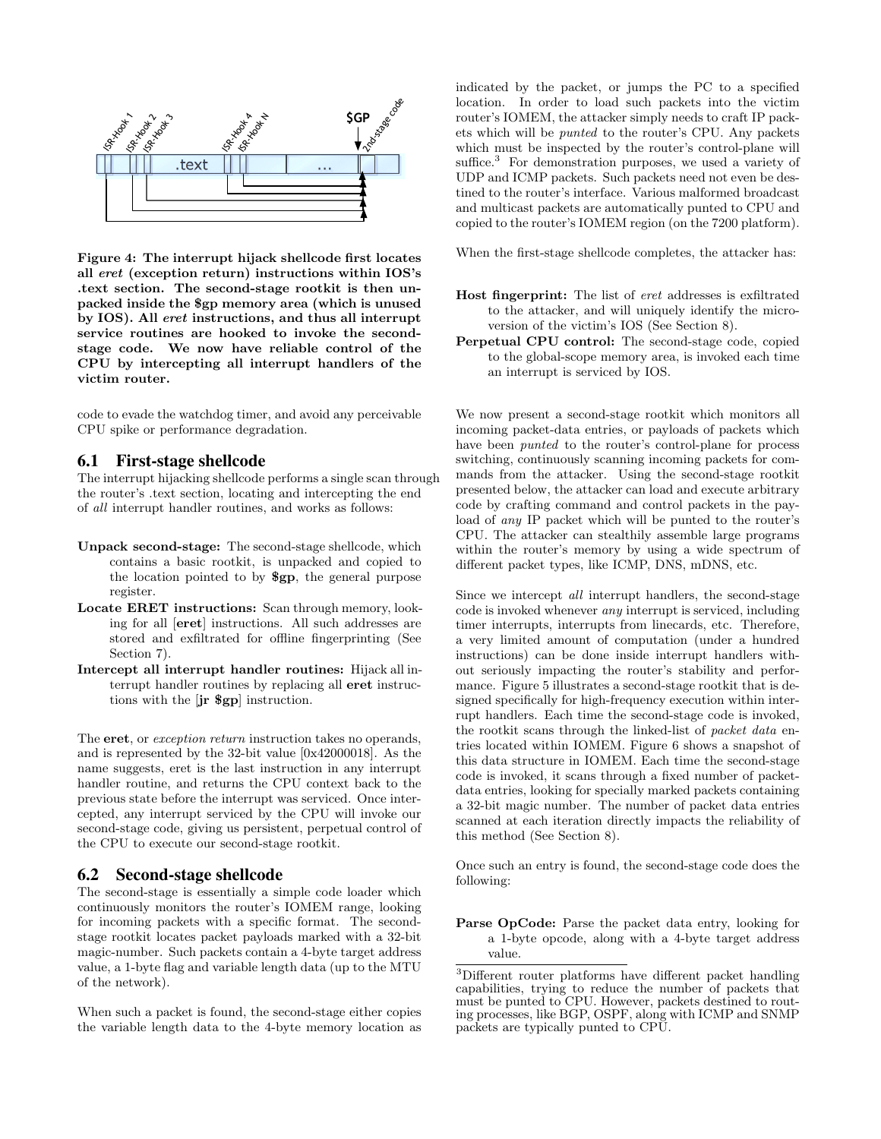

Figure 4: The interrupt hijack shellcode first locates all eret (exception return) instructions within IOS's .text section. The second-stage rootkit is then unpacked inside the \$gp memory area (which is unused by IOS). All eret instructions, and thus all interrupt service routines are hooked to invoke the secondstage code. We now have reliable control of the CPU by intercepting all interrupt handlers of the victim router.

code to evade the watchdog timer, and avoid any perceivable CPU spike or performance degradation.

#### 6.1 First-stage shellcode

The interrupt hijacking shellcode performs a single scan through the router's .text section, locating and intercepting the end of all interrupt handler routines, and works as follows:

- Unpack second-stage: The second-stage shellcode, which contains a basic rootkit, is unpacked and copied to the location pointed to by \$gp, the general purpose register.
- Locate ERET instructions: Scan through memory, looking for all [eret] instructions. All such addresses are stored and exfiltrated for offline fingerprinting (See Section 7.
- Intercept all interrupt handler routines: Hijack all interrupt handler routines by replacing all eret instructions with the [jr \$gp] instruction.

The **eret**, or *exception return* instruction takes no operands, and is represented by the 32-bit value [0x42000018]. As the name suggests, eret is the last instruction in any interrupt handler routine, and returns the CPU context back to the previous state before the interrupt was serviced. Once intercepted, any interrupt serviced by the CPU will invoke our second-stage code, giving us persistent, perpetual control of the CPU to execute our second-stage rootkit.

#### 6.2 Second-stage shellcode

The second-stage is essentially a simple code loader which continuously monitors the router's IOMEM range, looking for incoming packets with a specific format. The secondstage rootkit locates packet payloads marked with a 32-bit magic-number. Such packets contain a 4-byte target address value, a 1-byte flag and variable length data (up to the MTU of the network).

When such a packet is found, the second-stage either copies the variable length data to the 4-byte memory location as indicated by the packet, or jumps the PC to a specified location. In order to load such packets into the victim router's IOMEM, the attacker simply needs to craft IP packets which will be punted to the router's CPU. Any packets which must be inspected by the router's control-plane will suffice.<sup>3</sup> For demonstration purposes, we used a variety of UDP and ICMP packets. Such packets need not even be destined to the router's interface. Various malformed broadcast and multicast packets are automatically punted to CPU and copied to the router's IOMEM region (on the 7200 platform).

When the first-stage shellcode completes, the attacker has:

- Host fingerprint: The list of eret addresses is exfiltrated to the attacker, and will uniquely identify the microversion of the victim's IOS (See Section 8).
- Perpetual CPU control: The second-stage code, copied to the global-scope memory area, is invoked each time an interrupt is serviced by IOS.

We now present a second-stage rootkit which monitors all incoming packet-data entries, or payloads of packets which have been punted to the router's control-plane for process switching, continuously scanning incoming packets for commands from the attacker. Using the second-stage rootkit presented below, the attacker can load and execute arbitrary code by crafting command and control packets in the payload of any IP packet which will be punted to the router's CPU. The attacker can stealthily assemble large programs within the router's memory by using a wide spectrum of different packet types, like ICMP, DNS, mDNS, etc.

Since we intercept all interrupt handlers, the second-stage code is invoked whenever any interrupt is serviced, including timer interrupts, interrupts from linecards, etc. Therefore, a very limited amount of computation (under a hundred instructions) can be done inside interrupt handlers without seriously impacting the router's stability and performance. Figure 5 illustrates a second-stage rootkit that is designed specifically for high-frequency execution within interrupt handlers. Each time the second-stage code is invoked, the rootkit scans through the linked-list of packet data entries located within IOMEM. Figure 6 shows a snapshot of this data structure in IOMEM. Each time the second-stage code is invoked, it scans through a fixed number of packetdata entries, looking for specially marked packets containing a 32-bit magic number. The number of packet data entries scanned at each iteration directly impacts the reliability of this method (See Section 8).

Once such an entry is found, the second-stage code does the following:

Parse OpCode: Parse the packet data entry, looking for a 1-byte opcode, along with a 4-byte target address value.

<sup>3</sup>Different router platforms have different packet handling capabilities, trying to reduce the number of packets that must be punted to CPU. However, packets destined to routing processes, like BGP, OSPF, along with ICMP and SNMP packets are typically punted to CPU.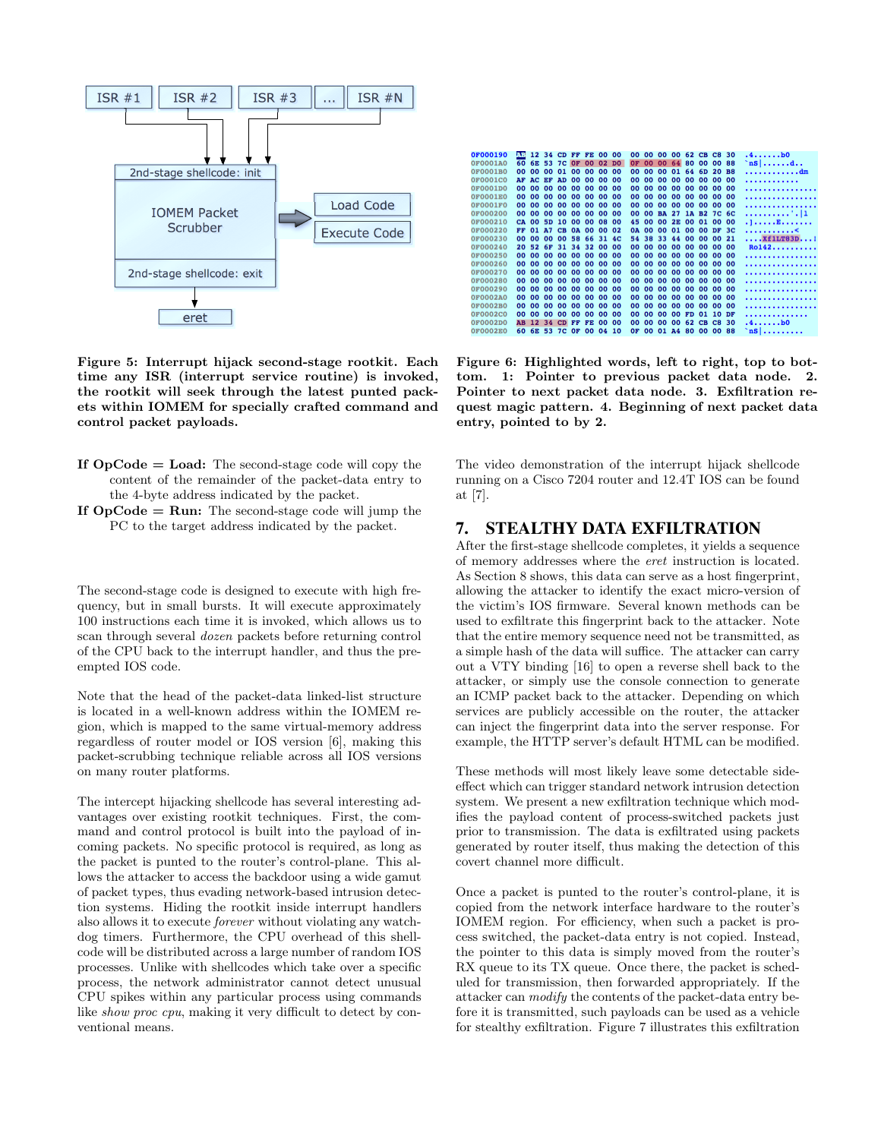

Figure 5: Interrupt hijack second-stage rootkit. Each time any ISR (interrupt service routine) is invoked, the rootkit will seek through the latest punted packets within IOMEM for specially crafted command and control packet payloads.

- If  $OpCode = Load$ : The second-stage code will copy the content of the remainder of the packet-data entry to the 4-byte address indicated by the packet.
- If  $OpCode = Run:$  The second-stage code will jump the PC to the target address indicated by the packet.

The second-stage code is designed to execute with high frequency, but in small bursts. It will execute approximately 100 instructions each time it is invoked, which allows us to scan through several dozen packets before returning control of the CPU back to the interrupt handler, and thus the preempted IOS code.

Note that the head of the packet-data linked-list structure is located in a well-known address within the IOMEM region, which is mapped to the same virtual-memory address regardless of router model or IOS version [6], making this packet-scrubbing technique reliable across all IOS versions on many router platforms.

The intercept hijacking shellcode has several interesting advantages over existing rootkit techniques. First, the command and control protocol is built into the payload of incoming packets. No specific protocol is required, as long as the packet is punted to the router's control-plane. This allows the attacker to access the backdoor using a wide gamut of packet types, thus evading network-based intrusion detection systems. Hiding the rootkit inside interrupt handlers also allows it to execute forever without violating any watchdog timers. Furthermore, the CPU overhead of this shellcode will be distributed across a large number of random IOS processes. Unlike with shellcodes which take over a specific process, the network administrator cannot detect unusual CPU spikes within any particular process using commands like *show proc cpu*, making it very difficult to detect by conventional means.

| 0F000190        |    |    | <b>RE 12 34 CD FF FE 00 00</b>  |    |       |                         |           |           |    | 00 00 00 00 62 CB C8 30 |  |  | .4. b0               |
|-----------------|----|----|---------------------------------|----|-------|-------------------------|-----------|-----------|----|-------------------------|--|--|----------------------|
| 0F0001A0        |    |    |                                 |    |       | 60 6E 53 7C OF 00 02 DO |           |           |    | OF 00 00 64 80 00 00 88 |  |  | $\text{ns}$          |
| <b>OF0001B0</b> |    |    | 00 00 00 01 00 00 00 00         |    |       |                         |           |           |    | 00 00 00 01 64 6D 20 B8 |  |  | . dm                 |
| 0F0001C0        |    |    | AF AC EF AD 00 00               |    | 00 00 |                         | <b>OO</b> | 00        | 00 | 00 00 00 00 00          |  |  | .                    |
| 0F0001D0        |    |    | 00 00 00 00 00 00 00 00         |    |       |                         | 00        |           |    | 00 00 00 00 00 00 00    |  |  | .                    |
| 0F0001E0        |    |    | 00 00 00 00 00 00 00 00         |    |       |                         |           |           |    | 00 00 00 00 00 00 00 00 |  |  | .                    |
| 0F0001F0        | 00 |    | 00 00 00 00 00 00 00            |    |       |                         | 00        | 00        | 00 | 00 00 00 00 00          |  |  | .                    |
| 0F000200        | 00 |    | 00 00 00 00 00 00 00            |    |       |                         | 00        | 00        |    | BA 27 1A B2 7C 6C       |  |  | . 1                  |
| 0F000210        |    |    | CA 00 5D 10 00 00 08 00         |    |       |                         |           |           |    | 45 00 00 2E 00 01 00 00 |  |  | . 1. E.              |
| 0F000220        |    |    | FF 01 A7 CB 0A 00 00 02         |    |       |                         |           |           |    | 0A 00 00 01 00 00 DF 3C |  |  | . <                  |
| 0F000230        |    |    | 00 00 00 00 58 66 31 4C         |    |       |                         |           |           |    | 54 38 33 44 00 00 00 21 |  |  | $\ldots$ $Xf1LT83D1$ |
| 0F000240        |    |    | 20 52 6F 31 34 32 00 00         |    |       |                         |           |           |    | 00 00 00 00 00 00 00 00 |  |  | Ro142                |
| 0F000250        |    |    | 00 00 00 00 00 00 00 00         |    |       |                         |           |           |    | 00 00 00 00 00 00 00 00 |  |  | .                    |
| 0F000260        | 00 |    | 00 00 00 00 00 00 00            |    |       |                         | <b>OO</b> | <b>OO</b> | 00 | 00 00 00 00 00          |  |  | .                    |
| 0F000270        |    |    | 00 00 00 00 00 00 00 00         |    |       |                         | 00        | 00        |    | 00 00 00 00 00 00       |  |  | .                    |
| 0F000280        |    |    | <u>00 00 00 00 00 00 00 00 </u> |    |       |                         |           |           |    | 00 00 00 00 00 00 00 00 |  |  | .                    |
| 0F000290        | 00 |    | 00 00 00 00 00 00 00            |    |       |                         | 00        | 00        | 00 | 00 00 00 00 00          |  |  | .                    |
| <b>OF0002A0</b> | 00 |    | 00 00 00 00 00 00 00            |    |       |                         | <b>OO</b> | 00        |    | 00 00 00 00 00 00       |  |  | .                    |
| <b>OF0002B0</b> |    |    | 00 00 00 00 00 00 00 00         |    |       |                         | 00        | 00        |    | 00 00 00 00 00 00       |  |  | .                    |
| 0F0002C0        | 00 | 00 | 000000                          | 00 | 00    | 00                      | <b>OO</b> | 00        | 00 | 00 FD 01 10 DF          |  |  | .                    |
| 0F0002D0        |    |    | AB 12 34 CD FF FE 00 00         |    |       |                         | 00        | 00        | 00 | 00 62 CB C8 30          |  |  | .4. <b>.</b> b0      |
| 0F0002E0        |    |    | 60 6E 53 7C OF 00 04 10         |    |       |                         |           |           |    | OF 00 01 A4 80 00 00 88 |  |  | $\mathbf{ns}$        |

Figure 6: Highlighted words, left to right, top to bottom. 1: Pointer to previous packet data node. 2. Pointer to next packet data node. 3. Exfiltration request magic pattern. 4. Beginning of next packet data entry, pointed to by 2.

The video demonstration of the interrupt hijack shellcode running on a Cisco 7204 router and 12.4T IOS can be found at [7].

#### 7. STEALTHY DATA EXFILTRATION

After the first-stage shellcode completes, it yields a sequence of memory addresses where the eret instruction is located. As Section 8 shows, this data can serve as a host fingerprint, allowing the attacker to identify the exact micro-version of the victim's IOS firmware. Several known methods can be used to exfiltrate this fingerprint back to the attacker. Note that the entire memory sequence need not be transmitted, as a simple hash of the data will suffice. The attacker can carry out a VTY binding [16] to open a reverse shell back to the attacker, or simply use the console connection to generate an ICMP packet back to the attacker. Depending on which services are publicly accessible on the router, the attacker can inject the fingerprint data into the server response. For example, the HTTP server's default HTML can be modified.

These methods will most likely leave some detectable sideeffect which can trigger standard network intrusion detection system. We present a new exfiltration technique which modifies the payload content of process-switched packets just prior to transmission. The data is exfiltrated using packets generated by router itself, thus making the detection of this covert channel more difficult.

Once a packet is punted to the router's control-plane, it is copied from the network interface hardware to the router's IOMEM region. For efficiency, when such a packet is process switched, the packet-data entry is not copied. Instead, the pointer to this data is simply moved from the router's RX queue to its TX queue. Once there, the packet is scheduled for transmission, then forwarded appropriately. If the attacker can modify the contents of the packet-data entry before it is transmitted, such payloads can be used as a vehicle for stealthy exfiltration. Figure 7 illustrates this exfiltration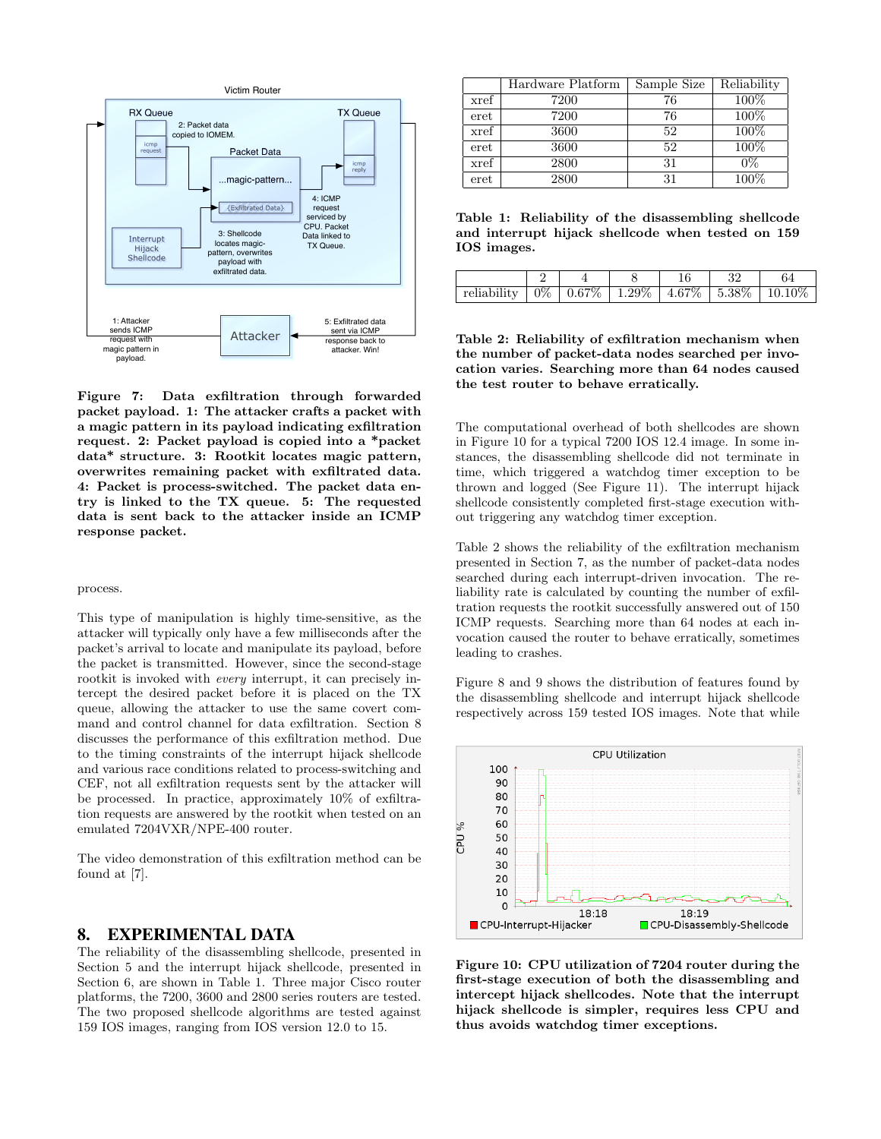

Figure 7: Data exfiltration through forwarded packet payload. 1: The attacker crafts a packet with a magic pattern in its payload indicating exfiltration request. 2: Packet payload is copied into a \*packet data\* structure. 3: Rootkit locates magic pattern, overwrites remaining packet with exfiltrated data. 4: Packet is process-switched. The packet data entry is linked to the TX queue. 5: The requested data is sent back to the attacker inside an ICMP response packet.

#### process.

This type of manipulation is highly time-sensitive, as the attacker will typically only have a few milliseconds after the packet's arrival to locate and manipulate its payload, before the packet is transmitted. However, since the second-stage rootkit is invoked with every interrupt, it can precisely intercept the desired packet before it is placed on the TX queue, allowing the attacker to use the same covert command and control channel for data exfiltration. Section 8 discusses the performance of this exfiltration method. Due to the timing constraints of the interrupt hijack shellcode and various race conditions related to process-switching and CEF, not all exfiltration requests sent by the attacker will be processed. In practice, approximately 10% of exfiltration requests are answered by the rootkit when tested on an emulated 7204VXR/NPE-400 router.

The video demonstration of this exfiltration method can be found at [7].

## 8. EXPERIMENTAL DATA

The reliability of the disassembling shellcode, presented in Section 5 and the interrupt hijack shellcode, presented in Section 6, are shown in Table 1. Three major Cisco router platforms, the 7200, 3600 and 2800 series routers are tested. The two proposed shellcode algorithms are tested against 159 IOS images, ranging from IOS version 12.0 to 15.

|      | Hardware Platform | Sample Size | Reliability |
|------|-------------------|-------------|-------------|
| xref | 7200              | 76          | 100%        |
| eret | 7200              | 76          | 100%        |
| xref | 3600              | 52          | 100%        |
| eret | 3600              | 52          | 100%        |
| xref | 2800              | 31          | $0\%$       |
| eret | 2800              | 31          | 100%        |

Table 1: Reliability of the disassembling shellcode and interrupt hijack shellcode when tested on 159 IOS images.

| reliability $\vert 0\% \vert 0.67\% \vert 1.29\% \vert 4.67\% \vert 5.38\% \vert 10.10\% \vert 10.10\% \vert 10.10\% \vert 10.10\% \vert 10.10\% \vert 10.10\% \vert 10.10\% \vert 10.10\% \vert 10.10\% \vert 10.10\% \vert 10.10\% \vert 10.10\% \vert 10.10\% \vert 10.10\% \vert 10.10\% \vert 10.10\% \vert 10.$ |  |  |  |
|-----------------------------------------------------------------------------------------------------------------------------------------------------------------------------------------------------------------------------------------------------------------------------------------------------------------------|--|--|--|

Table 2: Reliability of exfiltration mechanism when the number of packet-data nodes searched per invocation varies. Searching more than 64 nodes caused the test router to behave erratically.

The computational overhead of both shellcodes are shown in Figure 10 for a typical 7200 IOS 12.4 image. In some instances, the disassembling shellcode did not terminate in time, which triggered a watchdog timer exception to be thrown and logged (See Figure 11). The interrupt hijack shellcode consistently completed first-stage execution without triggering any watchdog timer exception.

Table 2 shows the reliability of the exfiltration mechanism presented in Section 7, as the number of packet-data nodes searched during each interrupt-driven invocation. The reliability rate is calculated by counting the number of exfiltration requests the rootkit successfully answered out of 150 ICMP requests. Searching more than 64 nodes at each invocation caused the router to behave erratically, sometimes leading to crashes.

Figure 8 and 9 shows the distribution of features found by the disassembling shellcode and interrupt hijack shellcode respectively across 159 tested IOS images. Note that while



Figure 10: CPU utilization of 7204 router during the first-stage execution of both the disassembling and intercept hijack shellcodes. Note that the interrupt hijack shellcode is simpler, requires less CPU and thus avoids watchdog timer exceptions.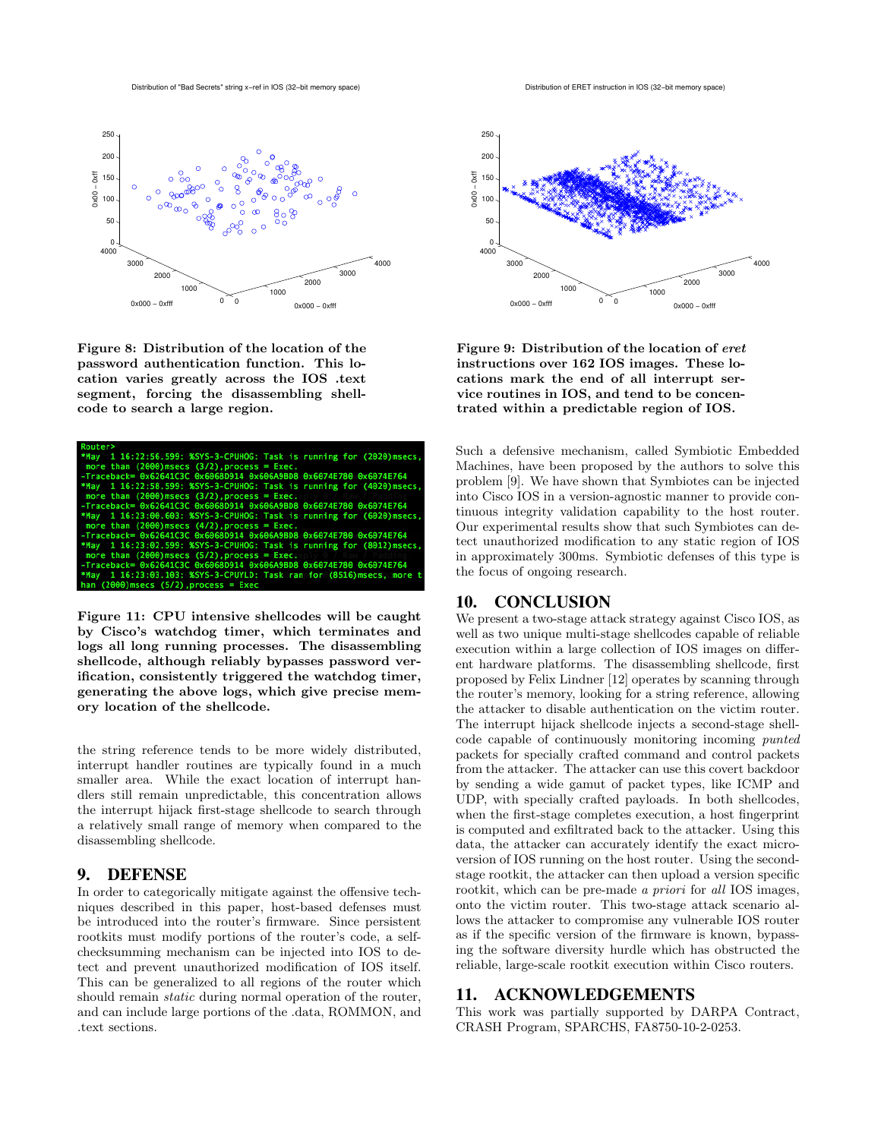

Figure 8: Distribution of the location of the password authentication function. This location varies greatly across the IOS .text segment, forcing the disassembling shellcode to search a large region.



Figure 11: CPU intensive shellcodes will be caught by Cisco's watchdog timer, which terminates and logs all long running processes. The disassembling shellcode, although reliably bypasses password verification, consistently triggered the watchdog timer, generating the above logs, which give precise memory location of the shellcode.

the string reference tends to be more widely distributed, interrupt handler routines are typically found in a much smaller area. While the exact location of interrupt handlers still remain unpredictable, this concentration allows the interrupt hijack first-stage shellcode to search through a relatively small range of memory when compared to the disassembling shellcode.

#### 9. DEFENSE

In order to categorically mitigate against the offensive techniques described in this paper, host-based defenses must be introduced into the router's firmware. Since persistent rootkits must modify portions of the router's code, a selfchecksumming mechanism can be injected into IOS to detect and prevent unauthorized modification of IOS itself. This can be generalized to all regions of the router which should remain static during normal operation of the router, and can include large portions of the .data, ROMMON, and .text sections.



Figure 9: Distribution of the location of eret instructions over 162 IOS images. These locations mark the end of all interrupt service routines in IOS, and tend to be concentrated within a predictable region of IOS.

Such a defensive mechanism, called Symbiotic Embedded Machines, have been proposed by the authors to solve this problem [9]. We have shown that Symbiotes can be injected into Cisco IOS in a version-agnostic manner to provide continuous integrity validation capability to the host router. Our experimental results show that such Symbiotes can detect unauthorized modification to any static region of IOS in approximately 300ms. Symbiotic defenses of this type is the focus of ongoing research.

## 10. CONCLUSION

We present a two-stage attack strategy against Cisco IOS, as well as two unique multi-stage shellcodes capable of reliable execution within a large collection of IOS images on different hardware platforms. The disassembling shellcode, first proposed by Felix Lindner [12] operates by scanning through the router's memory, looking for a string reference, allowing the attacker to disable authentication on the victim router. The interrupt hijack shellcode injects a second-stage shellcode capable of continuously monitoring incoming punted packets for specially crafted command and control packets from the attacker. The attacker can use this covert backdoor by sending a wide gamut of packet types, like ICMP and UDP, with specially crafted payloads. In both shellcodes, when the first-stage completes execution, a host fingerprint is computed and exfiltrated back to the attacker. Using this data, the attacker can accurately identify the exact microversion of IOS running on the host router. Using the secondstage rootkit, the attacker can then upload a version specific rootkit, which can be pre-made a priori for all IOS images, onto the victim router. This two-stage attack scenario allows the attacker to compromise any vulnerable IOS router as if the specific version of the firmware is known, bypassing the software diversity hurdle which has obstructed the reliable, large-scale rootkit execution within Cisco routers.

#### 11. ACKNOWLEDGEMENTS

This work was partially supported by DARPA Contract, CRASH Program, SPARCHS, FA8750-10-2-0253.